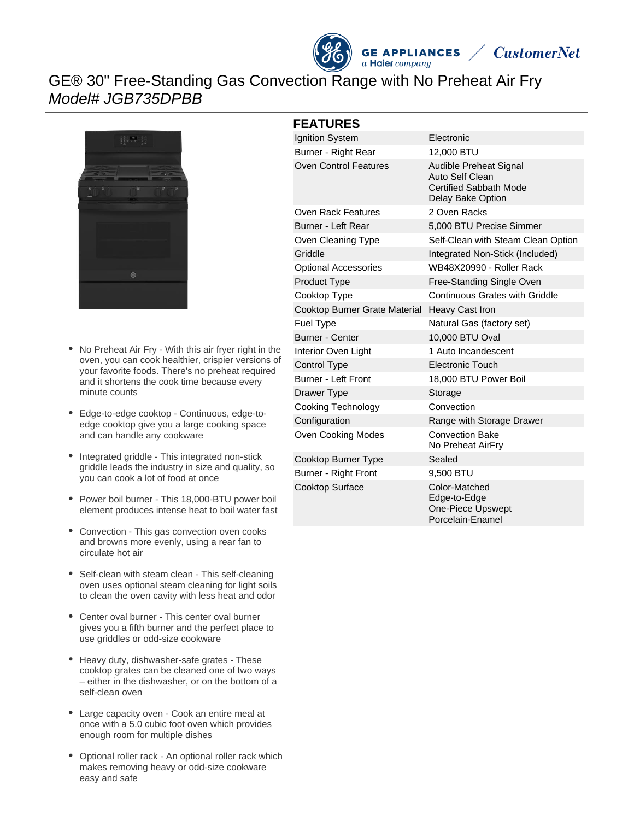



## GE® 30" Free-Standing Gas Convection Range with No Preheat Air Fry Model# JGB735DPBB



- $\bullet$ No Preheat Air Fry - With this air fryer right in the oven, you can cook healthier, crispier versions of your favorite foods. There's no preheat required and it shortens the cook time because every minute counts
- Edge-to-edge cooktop Continuous, edge-toedge cooktop give you a large cooking space and can handle any cookware
- Integrated griddle This integrated non-stick griddle leads the industry in size and quality, so you can cook a lot of food at once
- Power boil burner This 18,000-BTU power boil element produces intense heat to boil water fast
- $\bullet$ Convection - This gas convection oven cooks and browns more evenly, using a rear fan to circulate hot air
- Self-clean with steam clean This self-cleaning oven uses optional steam cleaning for light soils to clean the oven cavity with less heat and odor
- Center oval burner This center oval burner gives you a fifth burner and the perfect place to use griddles or odd-size cookware
- Heavy duty, dishwasher-safe grates These cooktop grates can be cleaned one of two ways – either in the dishwasher, or on the bottom of a self-clean oven
- Large capacity oven Cook an entire meal at once with a 5.0 cubic foot oven which provides enough room for multiple dishes
- Optional roller rack An optional roller rack which makes removing heavy or odd-size cookware easy and safe

#### **FEATURES**

| Ignition System               | Electronic                                                                                             |
|-------------------------------|--------------------------------------------------------------------------------------------------------|
| Burner - Right Rear           | 12,000 BTU                                                                                             |
| <b>Oven Control Features</b>  | <b>Audible Preheat Signal</b><br>Auto Self Clean<br><b>Certified Sabbath Mode</b><br>Delay Bake Option |
| Oven Rack Features            | 2 Oven Racks                                                                                           |
| Burner - Left Rear            | 5,000 BTU Precise Simmer                                                                               |
| Oven Cleaning Type            | Self-Clean with Steam Clean Option                                                                     |
| Griddle                       | Integrated Non-Stick (Included)                                                                        |
| <b>Optional Accessories</b>   | WB48X20990 - Roller Rack                                                                               |
| <b>Product Type</b>           | Free-Standing Single Oven                                                                              |
| Cooktop Type                  | Continuous Grates with Griddle                                                                         |
| Cooktop Burner Grate Material | Heavy Cast Iron                                                                                        |
| <b>Fuel Type</b>              | Natural Gas (factory set)                                                                              |
| <b>Burner - Center</b>        | 10,000 BTU Oval                                                                                        |
| Interior Oven Light           | 1 Auto Incandescent                                                                                    |
| Control Type                  | <b>Electronic Touch</b>                                                                                |
| <b>Burner - Left Front</b>    | 18,000 BTU Power Boil                                                                                  |
| Drawer Type                   | Storage                                                                                                |
| Cooking Technology            | Convection                                                                                             |
| Configuration                 | Range with Storage Drawer                                                                              |
| Oven Cooking Modes            | <b>Convection Bake</b><br>No Preheat AirFry                                                            |
| Cooktop Burner Type           | Sealed                                                                                                 |
| Burner - Right Front          | 9,500 BTU                                                                                              |
| Cooktop Surface               | Color-Matched<br>Edge-to-Edge<br><b>One-Piece Upswept</b><br>Porcelain-Enamel                          |
|                               |                                                                                                        |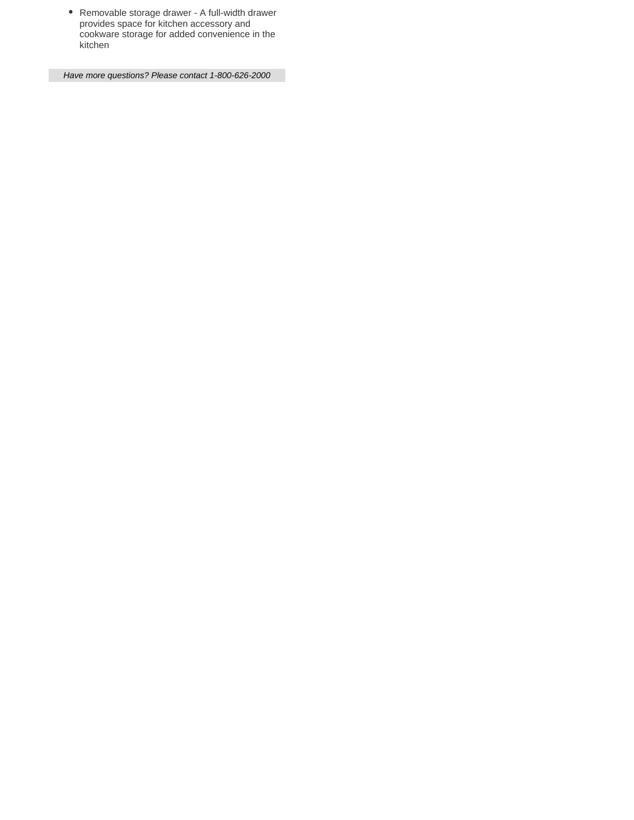Removable storage drawer - A full-width drawer provides space for kitchen accessory and cookware storage for added convenience in the kitchen

Have more questions? Please contact 1-800-626-2000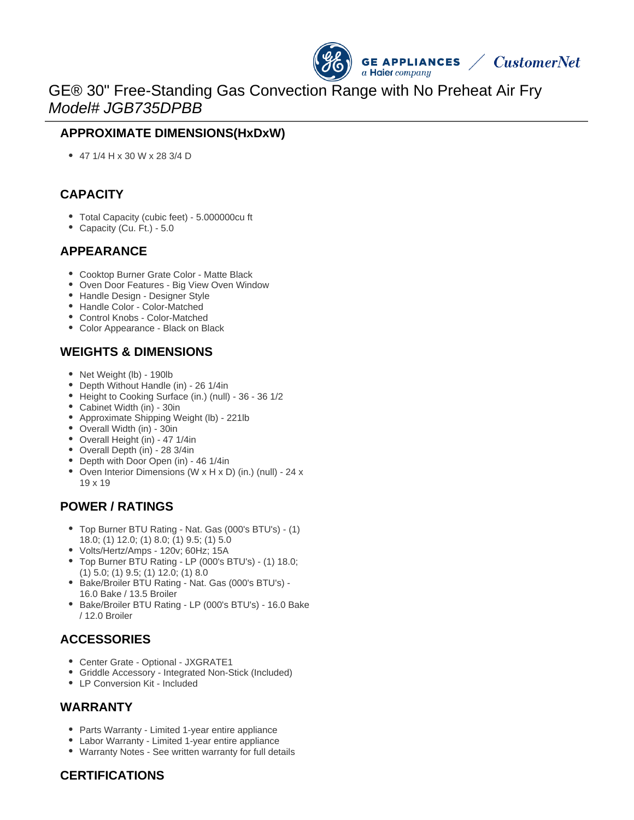

# GE® 30" Free-Standing Gas Convection Range with No Preheat Air Fry Model# JGB735DPBB

## **APPROXIMATE DIMENSIONS(HxDxW)**

47 1/4 H x 30 W x 28 3/4 D

#### **CAPACITY**

- Total Capacity (cubic feet) 5.000000cu ft
- Capacity (Cu. Ft.) 5.0

#### **APPEARANCE**

- Cooktop Burner Grate Color Matte Black
- Oven Door Features Big View Oven Window
- Handle Design Designer Style
- Handle Color Color-Matched
- Control Knobs Color-Matched
- Color Appearance Black on Black

## **WEIGHTS & DIMENSIONS**

- Net Weight (lb) 190lb
- Depth Without Handle (in) 26 1/4in
- Height to Cooking Surface (in.) (null) 36 36 1/2
- Cabinet Width (in) 30in
- Approximate Shipping Weight (lb) 221lb
- Overall Width (in) 30in
- Overall Height (in) 47 1/4in
- Overall Depth (in) 28 3/4in
- Depth with Door Open (in) 46 1/4in
- Oven Interior Dimensions (W x H x D) (in.) (null) 24 x 19 x 19

## **POWER / RATINGS**

- Top Burner BTU Rating Nat. Gas (000's BTU's) (1) 18.0; (1) 12.0; (1) 8.0; (1) 9.5; (1) 5.0
- Volts/Hertz/Amps 120v; 60Hz; 15A
- Top Burner BTU Rating LP (000's BTU's) (1) 18.0; (1) 5.0; (1) 9.5; (1) 12.0; (1) 8.0
- Bake/Broiler BTU Rating Nat. Gas (000's BTU's) -16.0 Bake / 13.5 Broiler
- Bake/Broiler BTU Rating LP (000's BTU's) 16.0 Bake / 12.0 Broiler

## **ACCESSORIES**

- Center Grate Optional JXGRATE1
- Griddle Accessory Integrated Non-Stick (Included)
- LP Conversion Kit Included

#### **WARRANTY**

- Parts Warranty Limited 1-year entire appliance
- Labor Warranty Limited 1-year entire appliance
- Warranty Notes See written warranty for full details

#### **CERTIFICATIONS**